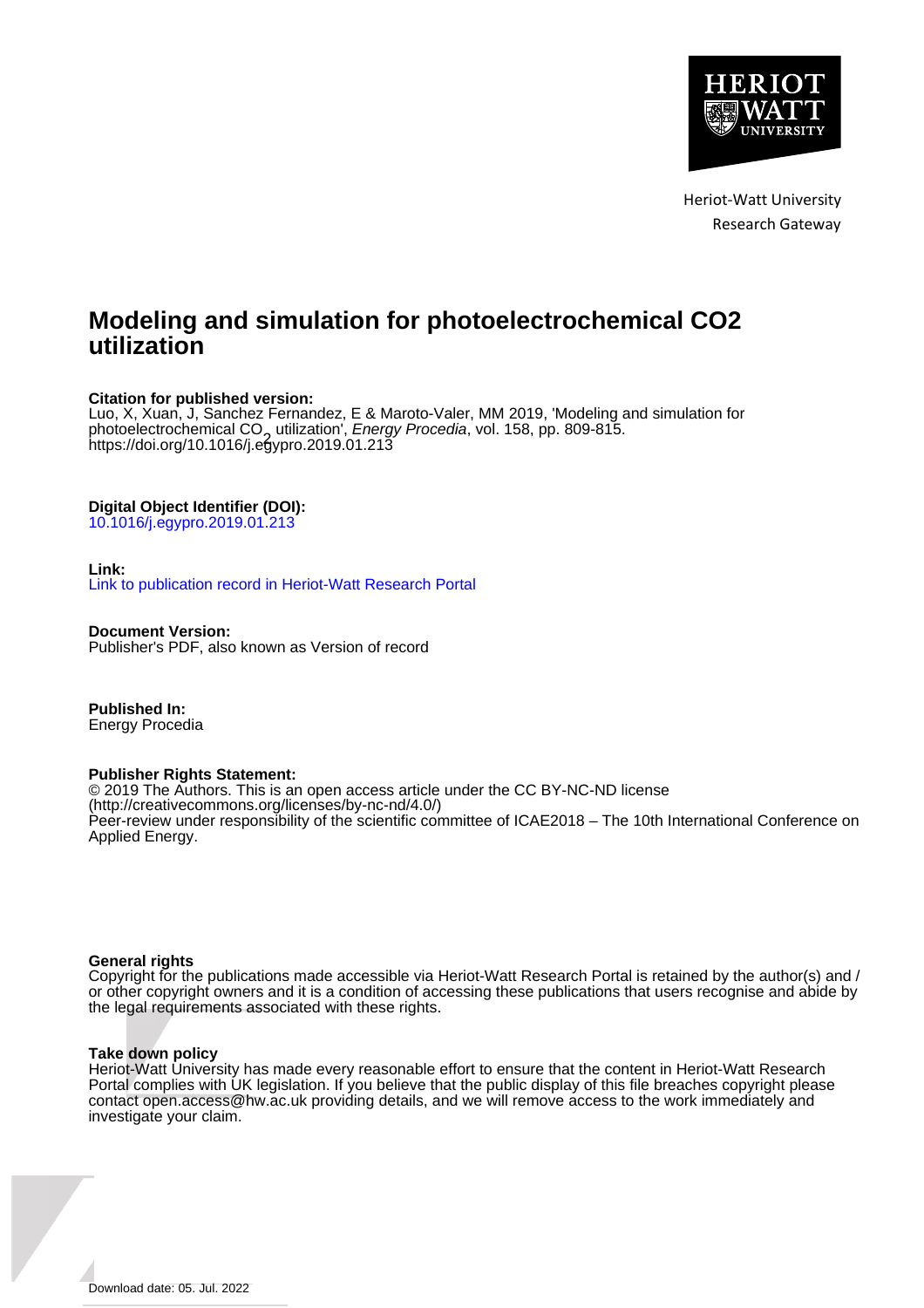

# **Modeling and simulation for photoelectrochemical CO2 utilization**

# **Citation for published version:**

Luo, X, Xuan, J, Sanchez Fernandez, E & Maroto-Valer, MM 2019, 'Modeling and simulation for photoelectrochemical CO<sub>2</sub> utilization', *Energy Procedia*, vol. 158, pp. 809-815.<br>https://doi.org/10.1016/j.e<del>n</del>ypro.2019.01.213. <https://doi.org/10.1016/j.egypro.2019.01.213>

# **Digital Object Identifier (DOI):**

[10.1016/j.egypro.2019.01.213](https://doi.org/10.1016/j.egypro.2019.01.213)

# **Link:**

[Link to publication record in Heriot-Watt Research Portal](https://researchportal.hw.ac.uk/en/publications/f6df998d-6dac-41d6-9ceb-86110d9dd7de)

**Document Version:** Publisher's PDF, also known as Version of record

**Published In:** Energy Procedia

### **Publisher Rights Statement:**

© 2019 The Authors. This is an open access article under the CC BY-NC-ND license (http://creativecommons.org/licenses/by-nc-nd/4.0/) Peer-review under responsibility of the scientific committee of ICAE2018 – The 10th International Conference on Applied Energy.

### **General rights**

Copyright for the publications made accessible via Heriot-Watt Research Portal is retained by the author(s) and / or other copyright owners and it is a condition of accessing these publications that users recognise and abide by the legal requirements associated with these rights.

### **Take down policy**

Heriot-Watt University has made every reasonable effort to ensure that the content in Heriot-Watt Research Portal complies with UK legislation. If you believe that the public display of this file breaches copyright please contact open.access@hw.ac.uk providing details, and we will remove access to the work immediately and investigate your claim.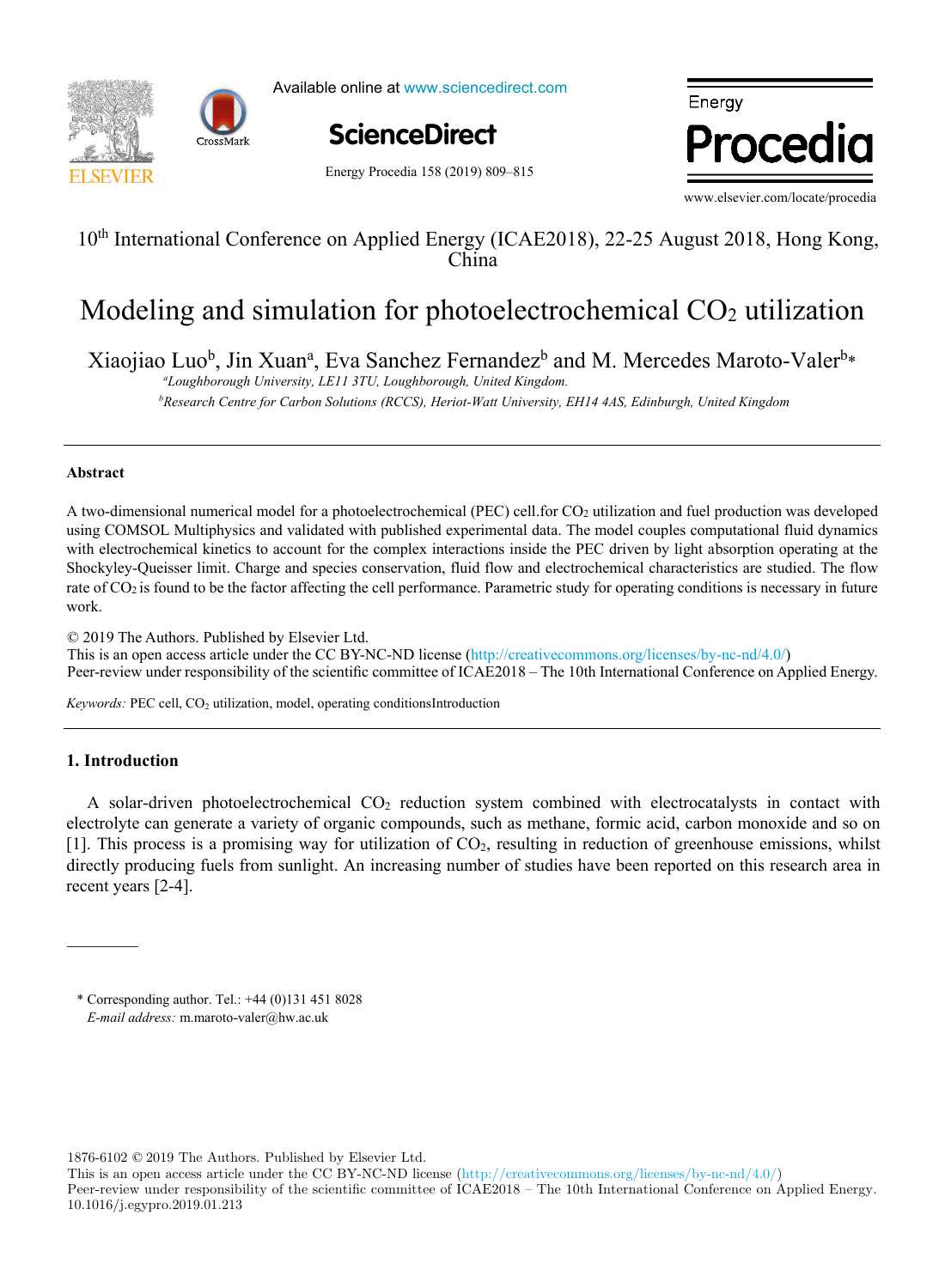



Available online at www.sciencedirect.com

**ScienceDirect** ScienceDirect

, P. Ferrãoa (h. 1876).<br>Notas

Energy Procedia 158 (2019) 809-815

Energy Procedia

, O. Le Correct de la Correct de la Correct de la Correct de la Correct de la Correct de la Correct de la Corr<br>1990 : la Correct de la Correct de la Correct de la Correct de la Correct de la Correct de la Correct de la Co

www.elsevier.com/locate/procedia

., B. Lacarrière comme de la carrière de la carrière de la carrière de la carrière de la carrière de la carrièr<br>1990 : le carrière de la carrière de la carrière de la carrière de la carrière de la carrière de la carrière d

# 10<sup>th</sup> International Conference on Applied Energy (ICAE2018), 22-25 August 2018, Hong Kong, China

#### and simulation for photoelectrochemical  $\rm CO_2$  ut Modeling and simulation for photoelectrochemical CO2 utilization Modeling and simulation for photoelectrochemical CO2 utilization

jiao Luo<sup>b</sup>, Jin Xuan<sup>a</sup>, Eva Sanchez Fernandez<sup>b</sup> and M. Mercedes Maroto-Vale Xiaojiao Luo<sup>b</sup>, Jin Xuan<sup>a</sup>, Eva Sanchez Fernandez<sup>b</sup> and M. Mercedes Maroto-Valer<sup>b</sup>\*

temperature function for a long-term district heat demand forecast  *b Research Centre for Carbon Solutions (RCCS), Heriot-Watt University, EH14 4AS, Edinburgh, United Kingdom b Research Centre for Carbon Solutions (RCCS), Heriot-Watt University, EH14 4AS, Edinburgh, United Kingdom a Loughborough University, LE11 3TU, Loughborough, United Kingdom.*

, J. Fournier<sup>b</sup>

# *a* **Abstract**

I. Andrić

A two-dimensional numerical model for a photoelectrochemical (PEC) cell for CO<sub>2</sub> utilization and fuel production was developed using COMSOL Multiphysics and validated with published experimental data. The model couples computational fluid dynamics rate of CO<sub>2</sub> is found to be the factor affecting the cell performance. Parametric study for operating conditions is necessary in future with electrochemical kinetics to account for the complex interactions inside the PEC driven by light absorption operating at the Shockyley-Queisser limit. Charge and species conservation, fluid flow and electrochemical characteristics are studied. The flow work.

© 2019 The Authors. Published by Elsevier Ltd.  $\approx$  2019 The Additions. Fubilished by Eisevier Edd.<br>This is an open access article under the CC BY-NC-ND license (http://creativecommons.org/licenses/by-nc-nd/4.0/) Peer-review under responsibility of the scientific committee of ICAE2018 – The 10th International Conference on Applied Energy. prolonging the investment return period.  $\frac{1}{200}$ 

forecast. The district of Alvalade, located in Lisbon (Portugal), was used as a case study. The district is consisted of 665

*Keywords:* PEC cell, CO<sub>2</sub> utilization, model, operating conditionsIntroduction *Keywords:* PEC cell, CO2 utilization, model, operating conditionsIntroduction

a,b,c<u>. A. Pinaa, A. Pinaa, A. Pinaa, A. Pinaa, A. Pinaa, A. Pinaa, A. Pinaa, A. Pinaa, A. Pinaa, A. Pinaa, A. P</u>

#### renovation scenarios were developed (shallow, intermediate, deep). To estimate the error, obtained heat demand values were demonstrated heat demand values were demonstrated heat demand values were demonstrated in the error **1. Introduction**

A solar-driven photoelectrochemical CO<sub>2</sub> reduction system combined with electrocatalysts in contact with electrolyte can generate a variety of organic compounds, such as methane, formic acid, carbon monoxide and so on [1]. This process is a promising way for utilization of CO<sub>2</sub>, resulting in reduction of greenhouse emissions, whilst the value of slope coefficient increases of the value of 3.8% up to 8.8% up to 8.8% per decade, the reception of  $\alpha$  in the reception of 3.8% per decade, that corresponds to the reception to the reception to the reception directly producing fuels from sunlight. An increasing number of studies have been reported on this research area in  $\text{Ricart}$  scenarios  $\mathbb{R}$   $\rightarrow$  7.8-12.7-12.7  $\text{Ricart}$  interaction interventing on the  $\mathbb{R}$ .7-12.7  $\text{Ricart}$  $\alpha$  recent years [2-4].

1876-6102 © 2019 The Authors. Published by Elsevier Ltd.

This is an open access article under the CC BY-NC-ND license (http://creativecommons.org/licenses/by-nc-nd/4.0/) Peer-review under responsibility of the scientific committee of ICAE2018 – The 10th International Conference on Applied Energy. 10.1016/j.egypro.2019.01.213

<sup>\*</sup> Corresponding author. Tel.: +44 (0)131 451 8028 E-mail address: m.maroto-valer@hw.ac.uk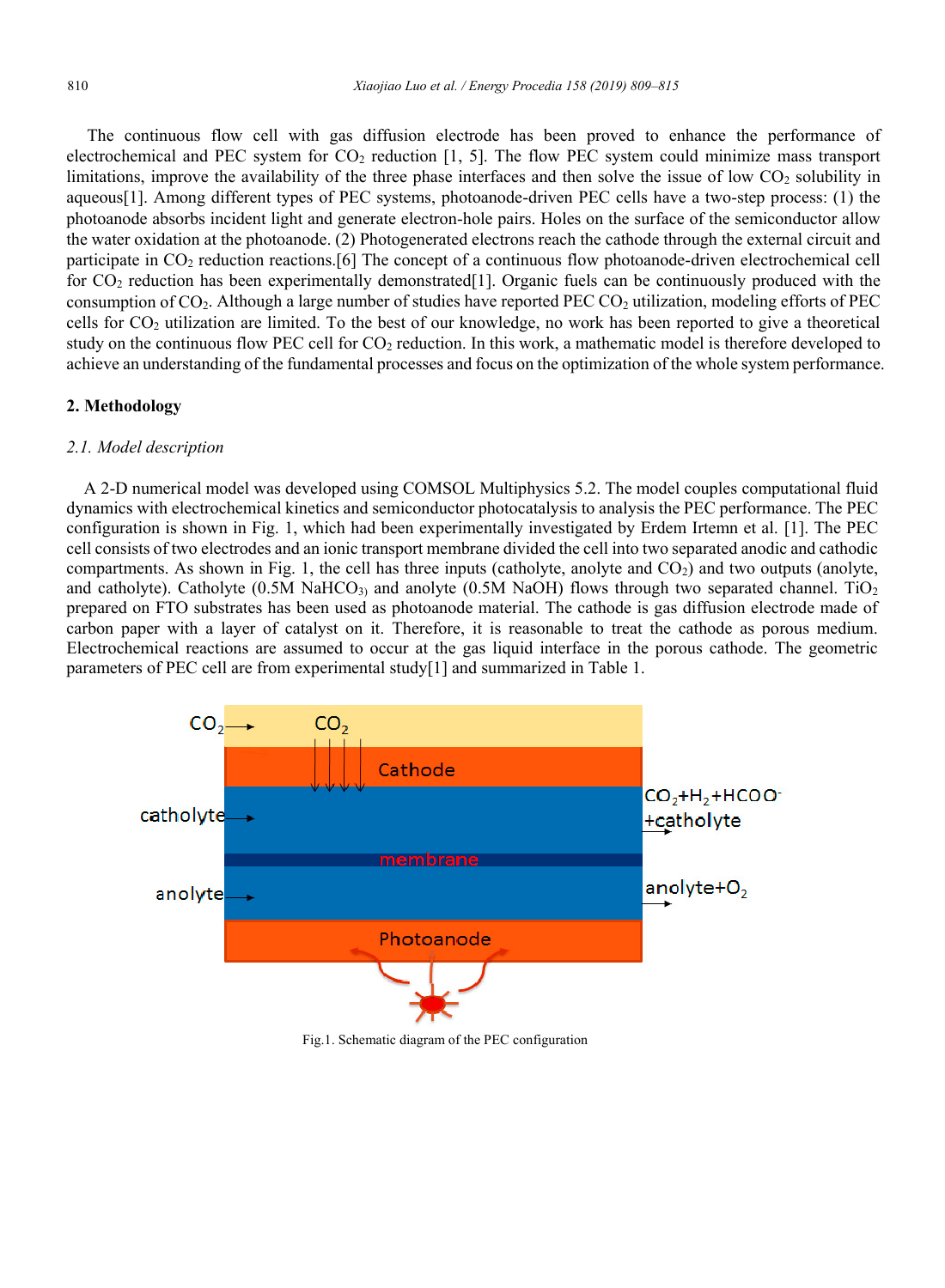The continuous flow cell with gas diffusion electrode has been proved to enhance the performance of electrochemical and PEC system for  $CO<sub>2</sub>$  reduction [1, 5]. The flow PEC system could minimize mass transport limitations, improve the availability of the three phase interfaces and then solve the issue of low CO<sub>2</sub> solubility in aqueous[1]. Among different types of PEC systems, photoanode-driven PEC cells have a two-step process: (1) the photoanode absorbs incident light and generate electron-hole pairs. Holes on the surface of the semiconductor allow the water oxidation at the photoanode. (2) Photogenerated electrons reach the cathode through the external circuit and participate in CO2 reduction reactions.[6] The concept of a continuous flow photoanode-driven electrochemical cell for  $CO<sub>2</sub>$  reduction has been experimentally demonstrated [1]. Organic fuels can be continuously produced with the consumption of CO<sub>2</sub>. Although a large number of studies have reported PEC CO<sub>2</sub> utilization, modeling efforts of PEC cells for CO2 utilization are limited. To the best of our knowledge, no work has been reported to give a theoretical study on the continuous flow PEC cell for CO2 reduction. In this work, a mathematic model is therefore developed to achieve an understanding of the fundamental processes and focus on the optimization of the whole system performance.

#### **2. Methodology**

#### *2.1. Model description*

A 2-D numerical model was developed using COMSOL Multiphysics 5.2. The model couples computational fluid dynamics with electrochemical kinetics and semiconductor photocatalysis to analysis the PEC performance. The PEC configuration is shown in Fig. 1, which had been experimentally investigated by Erdem Irtemn et al. [1]. The PEC cell consists of two electrodes and an ionic transport membrane divided the cell into two separated anodic and cathodic compartments. As shown in Fig. 1, the cell has three inputs (catholyte, anolyte and  $CO<sub>2</sub>$ ) and two outputs (anolyte, and catholyte). Catholyte  $(0.5M \text{ NaHCO}_3)$  and anolyte  $(0.5M \text{ NaOH})$  flows through two separated channel. TiO<sub>2</sub> prepared on FTO substrates has been used as photoanode material. The cathode is gas diffusion electrode made of carbon paper with a layer of catalyst on it. Therefore, it is reasonable to treat the cathode as porous medium. Electrochemical reactions are assumed to occur at the gas liquid interface in the porous cathode. The geometric parameters of PEC cell are from experimental study[1] and summarized in Table 1.



Fig.1. Schematic diagram of the PEC configuration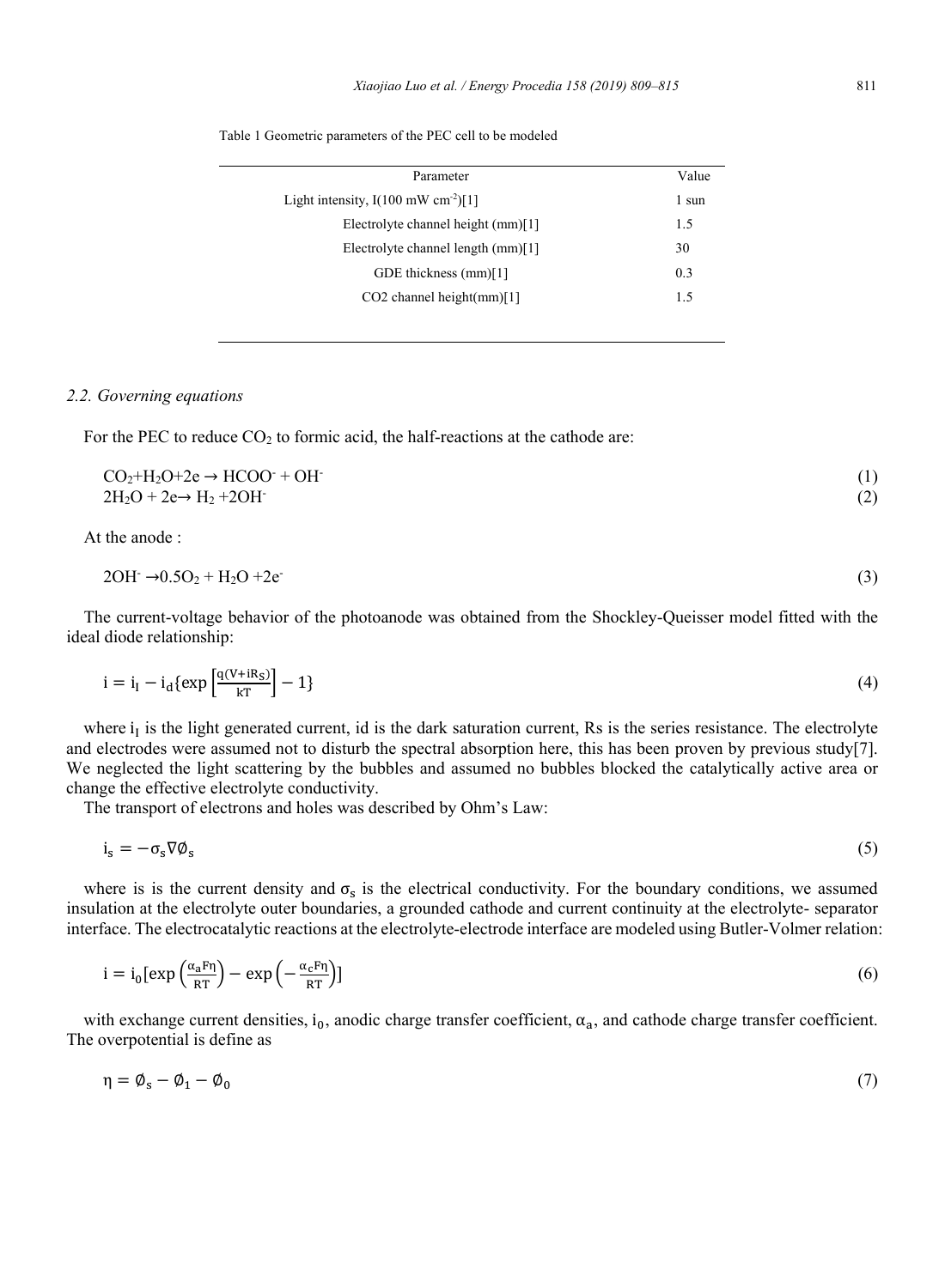|  |  | Table 1 Geometric parameters of the PEC cell to be modeled |  |  |  |  |  |
|--|--|------------------------------------------------------------|--|--|--|--|--|
|--|--|------------------------------------------------------------|--|--|--|--|--|

| Parameter                                       | Value |
|-------------------------------------------------|-------|
| Light intensity, $I(100 \text{ mW cm}^{-2})[1]$ | 1 sun |
| Electrolyte channel height (mm)[1]              | 1.5   |
| Electrolyte channel length (mm)[1]              | 30    |
| GDE thickness (mm)[1]                           | 0.3   |
| $CO2$ channel height $(mm)[1]$                  | 15    |
|                                                 |       |

#### *2.2. Governing equations*

For the PEC to reduce  $CO<sub>2</sub>$  to formic acid, the half-reactions at the cathode are:

$$
CO2+H2O+2e \rightarrow HCOO+OH-
$$
\n(1)  
\n
$$
2H2O + 2e \rightarrow H2 + 2OH-
$$
\n(2)

At the anode :

$$
2OH^- \rightarrow 0.5O_2 + H_2O + 2e^-
$$
\n<sup>(3)</sup>

The current-voltage behavior of the photoanode was obtained from the Shockley-Queisser model fitted with the ideal diode relationship:

$$
i = i_I - i_d \{ \exp\left[\frac{q(V + iR_S)}{kT}\right] - 1 \}
$$
\n<sup>(4)</sup>

where  $i_I$  is the light generated current, id is the dark saturation current, Rs is the series resistance. The electrolyte and electrodes were assumed not to disturb the spectral absorption here, this has been proven by previous study[7]. We neglected the light scattering by the bubbles and assumed no bubbles blocked the catalytically active area or change the effective electrolyte conductivity.

The transport of electrons and holes was described by Ohm's Law:

$$
i_s = -\sigma_s \nabla \phi_s \tag{5}
$$

where is is the current density and  $\sigma_s$  is the electrical conductivity. For the boundary conditions, we assumed insulation at the electrolyte outer boundaries, a grounded cathode and current continuity at the electrolyte- separator interface. The electrocatalytic reactions at the electrolyte-electrode interface are modeled using Butler-Volmer relation:

$$
i = i_0 \left[ \exp\left(\frac{\alpha_a F \eta}{RT}\right) - \exp\left(-\frac{\alpha_c F \eta}{RT}\right) \right] \tag{6}
$$

with exchange current densities, i<sub>0</sub>, anodic charge transfer coefficient,  $\alpha_a$ , and cathode charge transfer coefficient. The overpotential is define as

$$
\eta = \emptyset_s - \emptyset_1 - \emptyset_0 \tag{7}
$$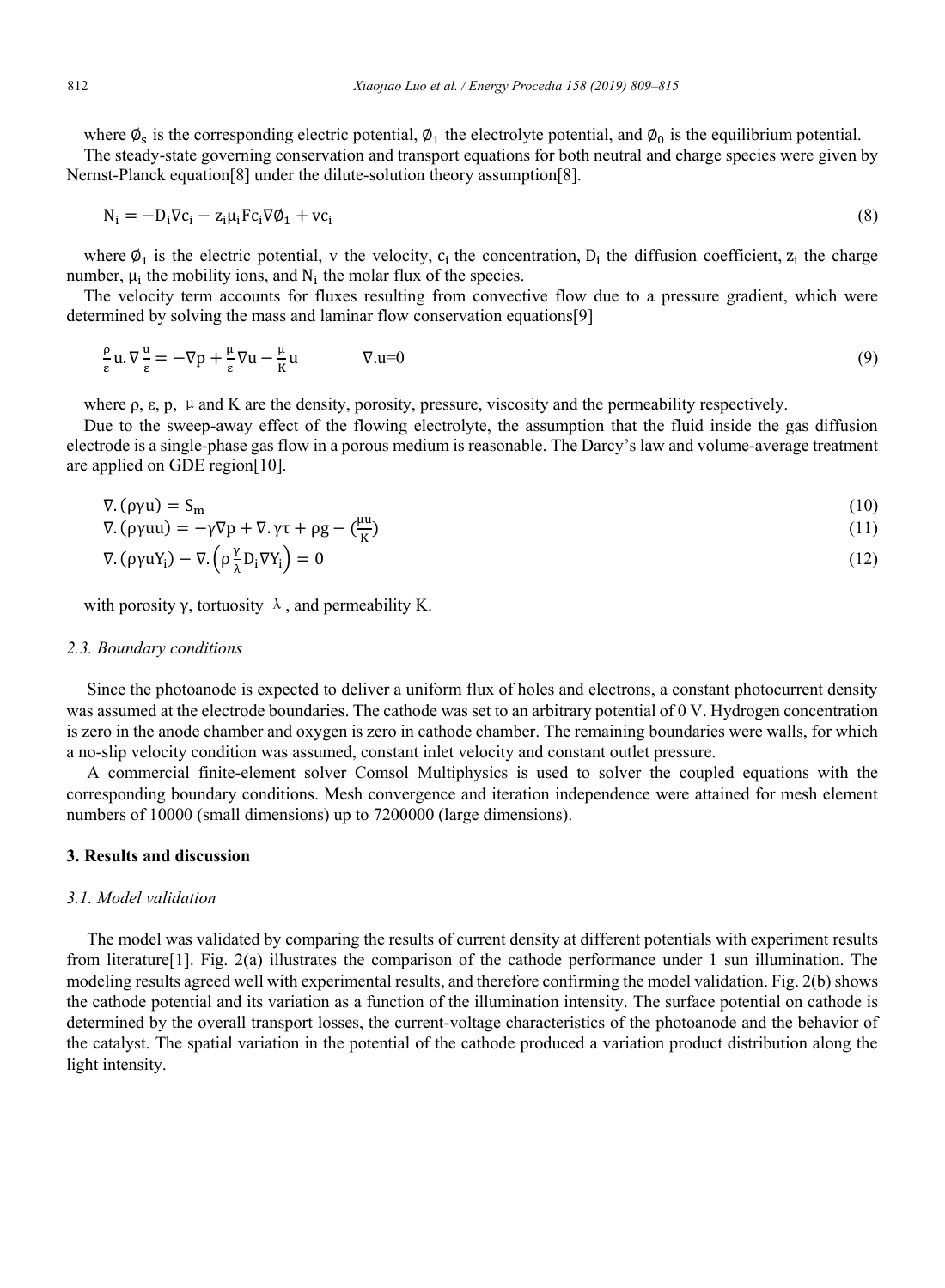where  $\phi_s$  is the corresponding electric potential,  $\phi_1$  the electrolyte potential, and  $\phi_0$  is the equilibrium potential.

The steady-state governing conservation and transport equations for both neutral and charge species were given by Nernst-Planck equation[8] under the dilute-solution theory assumption[8].

$$
N_i = -D_i \nabla c_i - z_i \mu_i F c_i \nabla \phi_1 + v c_i \tag{8}
$$

where  $\varphi_1$  is the electric potential, v the velocity,  $c_i$  the concentration,  $D_i$  the diffusion coefficient,  $z_i$  the charge number,  $\mu_i$  the mobility ions, and  $N_i$  the molar flux of the species.

The velocity term accounts for fluxes resulting from convective flow due to a pressure gradient, which were determined by solving the mass and laminar flow conservation equations[9]

$$
\frac{\rho}{\varepsilon}u.\,\nabla\frac{u}{\varepsilon} = -\nabla p + \frac{\mu}{\varepsilon}\nabla u - \frac{\mu}{K}u \qquad \qquad \nabla.u = 0 \tag{9}
$$

where  $\rho$ ,  $\varepsilon$ ,  $p$ ,  $\mu$  and K are the density, porosity, pressure, viscosity and the permeability respectively.

Due to the sweep-away effect of the flowing electrolyte, the assumption that the fluid inside the gas diffusion electrode is a single-phase gas flow in a porous medium is reasonable. The Darcy's law and volume-average treatment are applied on GDE region[10].

$$
\nabla \cdot (\rho \gamma u) = S_m \tag{10}
$$

$$
\nabla \cdot (\rho \gamma uu) = -\gamma \nabla p + \nabla \cdot \gamma \tau + \rho g - \left(\frac{\mu u}{K}\right) \tag{11}
$$

$$
\nabla. \left( \rho \gamma u Y_i \right) - \nabla. \left( \rho \frac{\gamma}{\lambda} D_i \nabla Y_i \right) = 0 \tag{12}
$$

with porosity γ, tortuosity  $λ$ , and permeability K.

#### *2.3. Boundary conditions*

Since the photoanode is expected to deliver a uniform flux of holes and electrons, a constant photocurrent density was assumed at the electrode boundaries. The cathode was set to an arbitrary potential of 0 V. Hydrogen concentration is zero in the anode chamber and oxygen is zero in cathode chamber. The remaining boundaries were walls, for which a no-slip velocity condition was assumed, constant inlet velocity and constant outlet pressure.

A commercial finite-element solver Comsol Multiphysics is used to solver the coupled equations with the corresponding boundary conditions. Mesh convergence and iteration independence were attained for mesh element numbers of 10000 (small dimensions) up to 7200000 (large dimensions).

#### **3. Results and discussion**

#### *3.1. Model validation*

The model was validated by comparing the results of current density at different potentials with experiment results from literature[1]. Fig. 2(a) illustrates the comparison of the cathode performance under 1 sun illumination. The modeling results agreed well with experimental results, and therefore confirming the model validation. Fig. 2(b) shows the cathode potential and its variation as a function of the illumination intensity. The surface potential on cathode is determined by the overall transport losses, the current-voltage characteristics of the photoanode and the behavior of the catalyst. The spatial variation in the potential of the cathode produced a variation product distribution along the light intensity.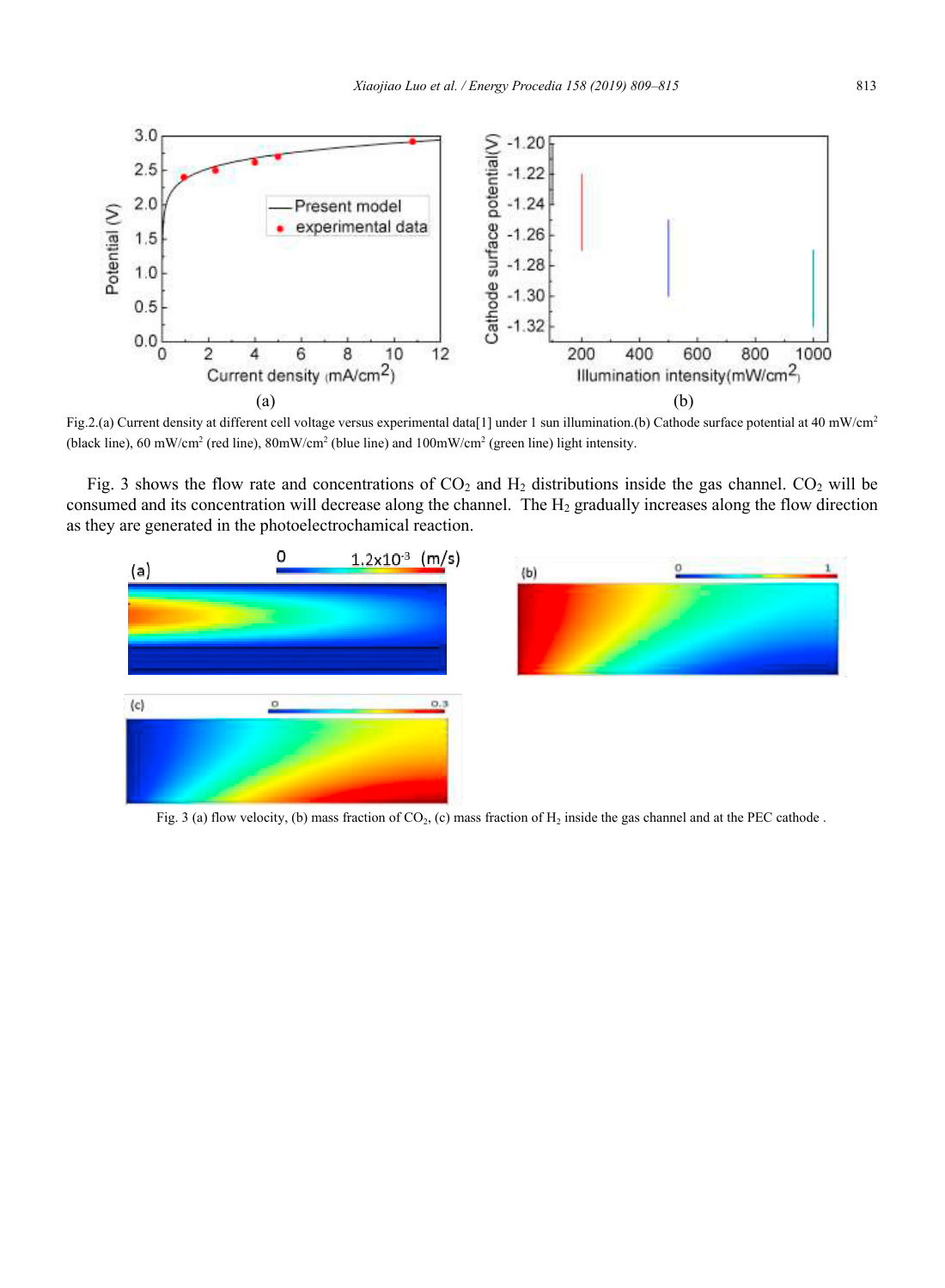

Fig.2.(a) Current density at different cell voltage versus experimental data[1] under 1 sun illumination.(b) Cathode surface potential at 40 mW/cm2 (black line), 60 mW/cm2 (red line), 80mW/cm2 (blue line) and 100mW/cm2 (green line) light intensity.

Fig. 3 shows the flow rate and concentrations of  $CO_2$  and  $H_2$  distributions inside the gas channel.  $CO_2$  will be consumed and its concentration will decrease along the channel. The H<sub>2</sub> gradually increases along the flow direction as they are generated in the photoelectrochamical reaction.





Fig. 3 (a) flow velocity, (b) mass fraction of CO<sub>2</sub>, (c) mass fraction of H<sub>2</sub> inside the gas channel and at the PEC cathode.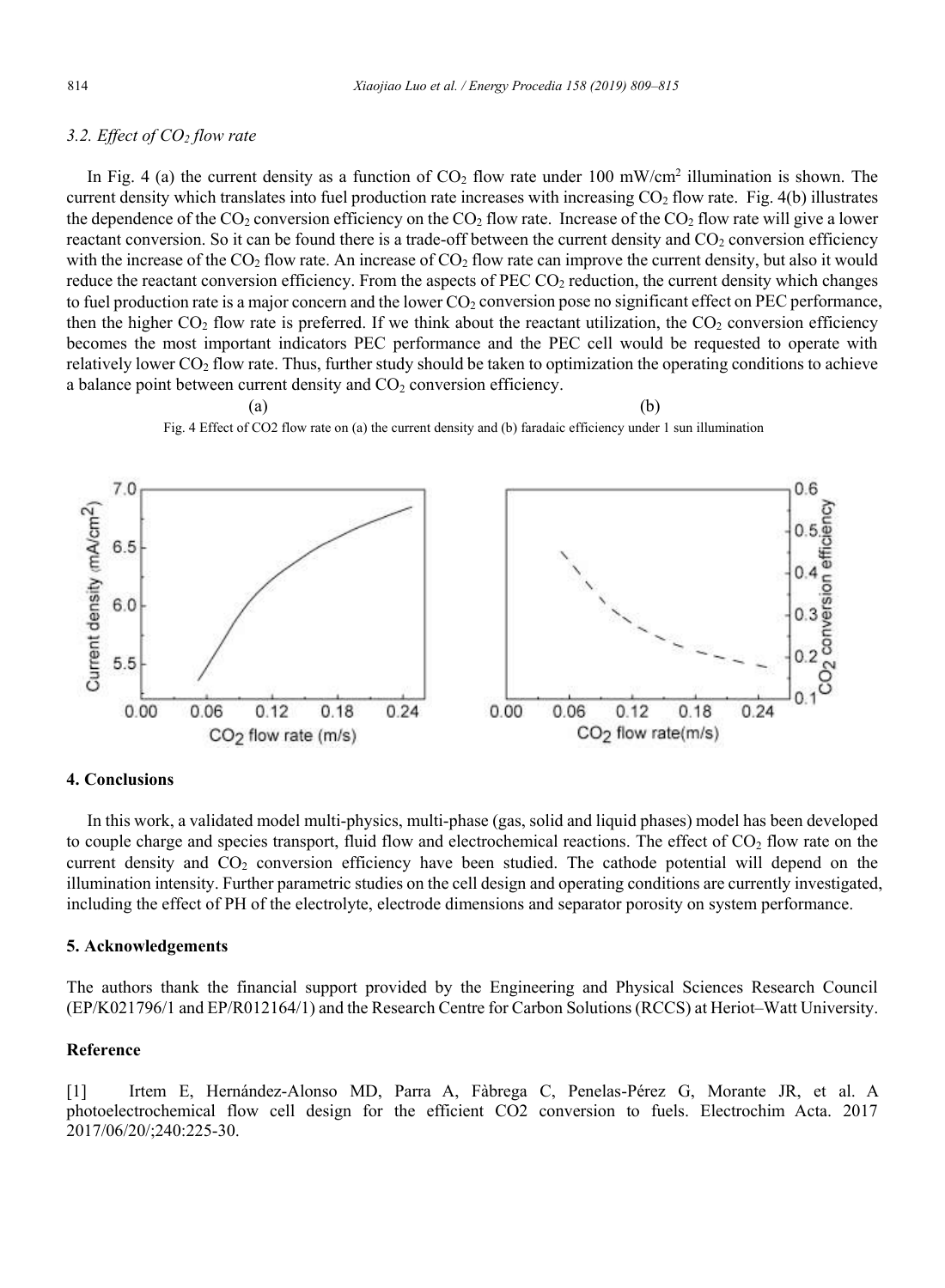### *3.2. Effect of CO2 flow rate*

In Fig. 4 (a) the current density as a function of  $CO<sub>2</sub>$  flow rate under 100 mW/cm<sup>2</sup> illumination is shown. The current density which translates into fuel production rate increases with increasing CO<sub>2</sub> flow rate. Fig. 4(b) illustrates the dependence of the  $CO_2$  conversion efficiency on the  $CO_2$  flow rate. Increase of the  $CO_2$  flow rate will give a lower reactant conversion. So it can be found there is a trade-off between the current density and  $CO<sub>2</sub>$  conversion efficiency with the increase of the  $CO<sub>2</sub>$  flow rate. An increase of  $CO<sub>2</sub>$  flow rate can improve the current density, but also it would reduce the reactant conversion efficiency. From the aspects of PEC  $CO<sub>2</sub>$  reduction, the current density which changes to fuel production rate is a major concern and the lower  $CO<sub>2</sub>$  conversion pose no significant effect on PEC performance, then the higher  $CO_2$  flow rate is preferred. If we think about the reactant utilization, the  $CO_2$  conversion efficiency becomes the most important indicators PEC performance and the PEC cell would be requested to operate with relatively lower  $CO<sub>2</sub>$  flow rate. Thus, further study should be taken to optimization the operating conditions to achieve a balance point between current density and  $CO<sub>2</sub>$  conversion efficiency.



#### **4. Conclusions**

In this work, a validated model multi-physics, multi-phase (gas, solid and liquid phases) model has been developed to couple charge and species transport, fluid flow and electrochemical reactions. The effect of  $CO<sub>2</sub>$  flow rate on the current density and  $CO<sub>2</sub>$  conversion efficiency have been studied. The cathode potential will depend on the illumination intensity. Further parametric studies on the cell design and operating conditions are currently investigated, including the effect of PH of the electrolyte, electrode dimensions and separator porosity on system performance.

#### **5. Acknowledgements**

The authors thank the financial support provided by the Engineering and Physical Sciences Research Council (EP/K021796/1 and EP/R012164/1) and the Research Centre for Carbon Solutions (RCCS) at Heriot–Watt University.

### **Reference**

[1] Irtem E, Hernández-Alonso MD, Parra A, Fàbrega C, Penelas-Pérez G, Morante JR, et al. A photoelectrochemical flow cell design for the efficient CO2 conversion to fuels. Electrochim Acta. 2017 2017/06/20/;240:225-30.